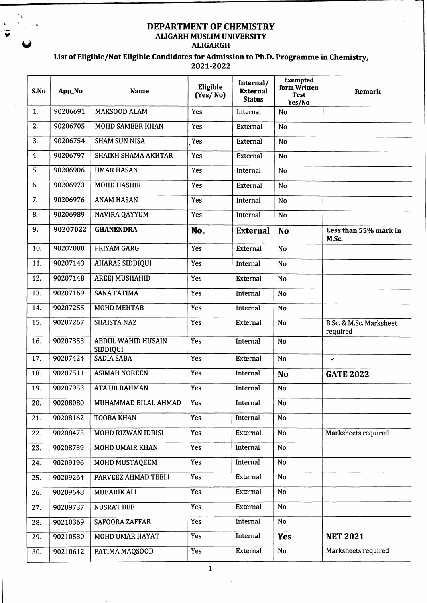## **DEPARTMENT OF CHEMISTRY ALIGARH MUSLIM UNIVERSITY W ALIGARGH**

| S.No | App_No   | <b>Name</b>                           | Eligible<br>(Yes/No) | Internal/<br><b>External</b><br><b>Status</b> | <b>Exempted</b><br>form Written<br><b>Test</b><br>Yes/No | <b>Remark</b>                       |
|------|----------|---------------------------------------|----------------------|-----------------------------------------------|----------------------------------------------------------|-------------------------------------|
| 1.   | 90206691 | <b>MAKSOOD ALAM</b>                   | Yes                  | Internal                                      | <b>No</b>                                                |                                     |
| 2.   | 90206705 | <b>MOHD SAMEER KHAN</b>               | Yes                  | External                                      | <b>No</b>                                                |                                     |
| 3.   | 90206754 | <b>SHAM SUN NISA</b>                  | Yes                  | <b>External</b>                               | <b>No</b>                                                |                                     |
| 4.   | 90206797 | SHAIKH SHAMA AKHTAR                   | Yes                  | <b>External</b>                               | N <sub>o</sub>                                           |                                     |
| 5.   | 90206906 | <b>UMAR HASAN</b>                     | Yes                  | Internal                                      | N <sub>o</sub>                                           |                                     |
| 6.   | 90206973 | <b>MOHD HASHIR</b>                    | Yes                  | <b>External</b>                               | <b>No</b>                                                |                                     |
| 7.   | 90206976 | <b>ANAM HASAN</b>                     | Yes                  | Internal                                      | <b>No</b>                                                |                                     |
| 8.   | 90206989 | <b>NAVIRA QAYYUM</b>                  | Yes                  | Internal                                      | <b>No</b>                                                |                                     |
| 9.   | 90207022 | <b>GHANENDRA</b>                      | No.                  | <b>External</b>                               | <b>No</b>                                                | Less than 55% mark in<br>M.Sc.      |
| 10.  | 90207080 | PRIYAM GARG                           | Yes                  | External                                      | <b>No</b>                                                |                                     |
| 11.  | 90207143 | <b>AHARAS SIDDIQUI</b>                | Yes                  | Internal                                      | No                                                       |                                     |
| 12.  | 90207148 | <b>AREEJ MUSHAHID</b>                 | Yes                  | External                                      | <b>No</b>                                                |                                     |
| 13.  | 90207169 | <b>SANA FATIMA</b>                    | Yes                  | Internal                                      | No                                                       |                                     |
| 14.  | 90207255 | <b>MOHD MEHTAB</b>                    | Yes                  | Internal                                      | <b>No</b>                                                |                                     |
| 15.  | 90207267 | <b>SHAISTA NAZ</b>                    | Yes                  | External                                      | No                                                       | B.Sc. & M.Sc. Marksheet<br>required |
| 16.  | 90207353 | <b>ABDUL WAHID HUSAIN</b><br>SIDDIQUI | Yes                  | Internal                                      | N <sub>o</sub>                                           |                                     |
| 17.  | 90207424 | <b>SADIA SABA</b>                     | Yes                  | External                                      | N <sub>o</sub>                                           | ╭                                   |
| 18.  | 90207511 | <b>ASIMAH NOREEN</b>                  | Yes                  | Internal                                      | <b>No</b>                                                | <b>GATE 2022</b>                    |
| 19.  | 90207953 | <b>ATA UR RAHMAN</b>                  | Yes                  | Internal                                      | No                                                       |                                     |
| 20.  | 90208080 | MUHAMMAD BILAL AHMAD                  | Yes                  | Internal                                      | No                                                       |                                     |
| 21.  | 90208162 | <b>TOOBA KHAN</b>                     | Yes                  | Internal                                      | No                                                       |                                     |
| 22.  | 90208475 | MOHD RIZWAN IDRISI                    | Yes                  | <b>External</b>                               | No                                                       | Marksheets required                 |
| 23.  | 90208739 | <b>MOHD UMAIR KHAN</b>                | Yes                  | Internal                                      | <b>No</b>                                                |                                     |
| 24.  | 90209196 | MOHD MUSTAQEEM                        | Yes                  | Internal                                      | <b>No</b>                                                |                                     |
| 25.  | 90209264 | PARVEEZ AHMAD TEELI                   | Yes                  | External                                      | No                                                       |                                     |
| 26.  | 90209648 | MUBARIK ALI                           | Yes                  | External                                      | No                                                       |                                     |
| 27.  | 90209737 | <b>NUSRAT BEE</b>                     | Yes                  | External                                      | No                                                       |                                     |
| 28.  | 90210369 | <b>SAFOORA ZAFFAR</b>                 | Yes                  | Internal                                      | N <sub>o</sub>                                           |                                     |
| 29.  | 90210530 | MOHD UMAR HAYAT                       | Yes                  | Internal                                      | Yes                                                      | <b>NET 2021</b>                     |
| 30.  | 90210612 | <b>FATIMA MAQSOOD</b>                 | Yes                  | External                                      | No                                                       | Marksheets required                 |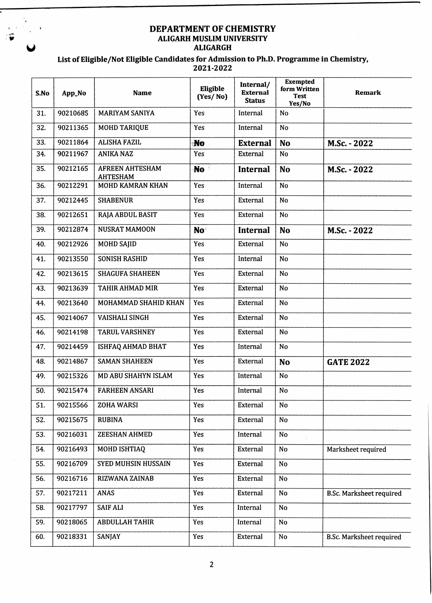#### **DEPARTMENT OF CHEMISTRY v ALIGARH MUSLIM UNIVERSITY y ALIGARGH**

| S.No | App_No   | <b>Name</b>                               | Eligible<br>(Yes/No) | Internal/<br><b>External</b><br><b>Status</b> | <b>Exempted</b><br>form Written<br><b>Test</b><br>Yes/No | Remark                          |
|------|----------|-------------------------------------------|----------------------|-----------------------------------------------|----------------------------------------------------------|---------------------------------|
| 31.  | 90210685 | <b>MARIYAM SANIYA</b>                     | Yes                  | Internal                                      | N <sub>0</sub>                                           |                                 |
| 32.  | 90211365 | <b>MOHD TARIQUE</b>                       | Yes                  | Internal                                      | <b>No</b>                                                |                                 |
| 33.  | 90211864 | <b>ALISHA FAZIL</b>                       | <b>No</b>            | <b>External</b>                               | <b>No</b>                                                | M.Sc. - 2022                    |
| 34.  | 90211967 | <b>ANIKA NAZ</b>                          | Yes                  | External                                      | No                                                       |                                 |
| 35.  | 90212165 | <b>AFREEN AHTESHAM</b><br><b>AHTESHAM</b> | No b                 | <b>Internal</b>                               | <b>No</b>                                                | M.Sc. - 2022                    |
| 36.  | 90212291 | MOHD KAMRAN KHAN                          | Yes                  | Internal                                      | <b>No</b>                                                |                                 |
| 37.  | 90212445 | <b>SHABENUR</b>                           | Yes                  | <b>External</b>                               | <b>No</b>                                                |                                 |
| 38.  | 90212651 | RAJA ABDUL BASIT                          | Yes                  | External                                      | <b>No</b>                                                |                                 |
| 39.  | 90212874 | <b>NUSRAT MAMOON</b>                      | No <sup>-</sup>      | <b>Internal</b>                               | <b>No</b>                                                | M.Sc. - 2022                    |
| 40.  | 90212926 | <b>MOHD SAJID</b>                         | Yes                  | External                                      | <b>No</b>                                                |                                 |
| 41.  | 90213550 | <b>SONISH RASHID</b>                      | Yes                  | Internal                                      | <b>No</b>                                                |                                 |
| 42.  | 90213615 | <b>SHAGUFA SHAHEEN</b>                    | Yes                  | External                                      | <b>No</b>                                                |                                 |
| 43.  | 90213639 | TAHIR AHMAD MIR                           | Yes                  | External                                      | No                                                       |                                 |
| 44.  | 90213640 | MOHAMMAD SHAHID KHAN                      | Yes                  | External                                      | N <sub>o</sub>                                           |                                 |
| 45.  | 90214067 | <b>VAISHALI SINGH</b>                     | Yes                  | External                                      | No                                                       |                                 |
| 46.  | 90214198 | <b>TARUL VARSHNEY</b>                     | Yes                  | External                                      | <b>No</b>                                                |                                 |
| 47.  | 90214459 | <b>ISHFAQ AHMAD BHAT</b>                  | Yes                  | Internal                                      | No                                                       |                                 |
| 48.  | 90214867 | <b>SAMAN SHAHEEN</b>                      | Yes                  | External                                      | <b>No</b>                                                | <b>GATE 2022</b>                |
| 49.  | 90215326 | MD ABU SHAHYN ISLAM                       | Yes                  | Internal                                      | No                                                       |                                 |
| 50.  | 90215474 | <b>FARHEEN ANSARI</b>                     | Yes                  | Internal                                      | No                                                       |                                 |
| 51.  | 90215566 | ZOHA WARSI                                | Yes                  | External                                      | No                                                       |                                 |
| 52.  | 90215675 | <b>RUBINA</b>                             | Yes                  | External                                      | No                                                       |                                 |
| 53.  | 90216031 | <b>ZEESHAN AHMED</b>                      | Yes                  | Internal                                      | <b>No</b>                                                |                                 |
| 54.  | 90216493 | MOHD ISHTIAQ                              | Yes                  | External                                      | No                                                       | Marksheet required              |
| 55.  | 90216709 | <b>SYED MUHSIN HUSSAIN</b>                | Yes                  | External                                      | No                                                       |                                 |
| 56.  | 90216716 | RIZWANA ZAINAB                            | Yes                  | External                                      | <b>No</b>                                                |                                 |
| 57.  | 90217211 | <b>ANAS</b>                               | Yes                  | <b>External</b>                               | <b>No</b>                                                | <b>B.Sc. Marksheet required</b> |
| 58.  | 90217797 | <b>SAIF ALI</b>                           | Yes                  | Internal                                      | <b>No</b>                                                |                                 |
| 59.  | 90218065 | <b>ABDULLAH TAHIR</b>                     | Yes                  | Internal                                      | No                                                       |                                 |
| 60.  | 90218331 | SANJAY                                    | Yes                  | <b>External</b>                               | No                                                       | <b>B.Sc. Marksheet required</b> |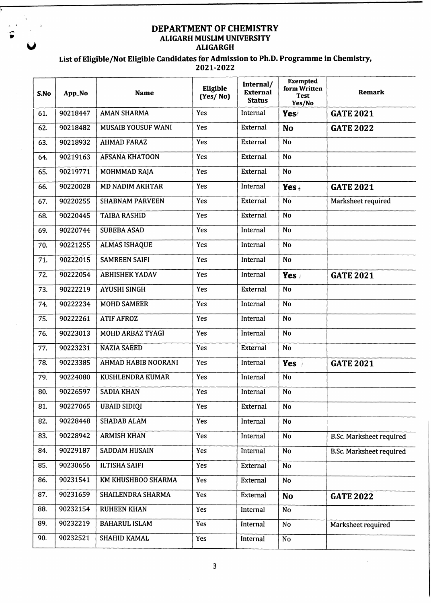# **DEPARTMENT OF CHEMISTRY ALIGARH MUSLIM UNIVERSITY ALIGARGH**

| S.No | App_No   | <b>Name</b>            | Eligible<br>(Yes/No) | Internal/<br><b>External</b><br><b>Status</b> | <b>Exempted</b><br>form Written<br><b>Test</b><br>Yes/No | <b>Remark</b>                   |
|------|----------|------------------------|----------------------|-----------------------------------------------|----------------------------------------------------------|---------------------------------|
| 61.  | 90218447 | <b>AMAN SHARMA</b>     | Yes                  | Internal                                      | <b>Yes</b>                                               | <b>GATE 2021</b>                |
| 62.  | 90218482 | MUSAIB YOUSUF WANI     | Yes                  | External                                      | <b>No</b>                                                | <b>GATE 2022</b>                |
| 63.  | 90218932 | <b>AHMAD FARAZ</b>     | Yes                  | External                                      | N <sub>o</sub>                                           |                                 |
| 64.  | 90219163 | <b>AFSANA KHATOON</b>  | Yes                  | <b>External</b>                               | <b>No</b>                                                |                                 |
| 65.  | 90219771 | MOHMMAD RAJA           | Yes                  | External                                      | N <sub>o</sub>                                           |                                 |
| 66.  | 90220028 | <b>MD NADIM AKHTAR</b> | Yes                  | Internal                                      | Yes $\epsilon$                                           | <b>GATE 2021</b>                |
| 67.  | 90220255 | <b>SHABNAM PARVEEN</b> | Yes                  | External                                      | No                                                       | Marksheet required              |
| 68.  | 90220445 | <b>TAIBA RASHID</b>    | Yes                  | External                                      | <b>No</b>                                                |                                 |
| 69.  | 90220744 | <b>SUBEBA ASAD</b>     | Yes                  | Internal                                      | <b>No</b>                                                |                                 |
| 70.  | 90221255 | <b>ALMAS ISHAQUE</b>   | Yes                  | Internal                                      | <b>No</b>                                                |                                 |
| 71.  | 90222015 | <b>SAMREEN SAIFI</b>   | Yes                  | Internal                                      | N <sub>o</sub>                                           |                                 |
| 72.  | 90222054 | <b>ABHISHEK YADAV</b>  | Yes                  | Internal                                      | Yes:                                                     | <b>GATE 2021</b>                |
| 73.  | 90222219 | <b>AYUSHI SINGH</b>    | Yes                  | External                                      | <b>No</b>                                                |                                 |
| 74.  | 90222234 | <b>MOHD SAMEER</b>     | Yes                  | Internal                                      | N <sub>o</sub>                                           |                                 |
| 75.  | 90222261 | <b>ATIF AFROZ</b>      | Yes                  | Internal                                      | N <sub>o</sub>                                           |                                 |
| 76.  | 90223013 | MOHD ARBAZ TYAGI       | Yes                  | Internal                                      | <b>No</b>                                                |                                 |
| 77.  | 90223231 | <b>NAZIA SAEED</b>     | Yes                  | External                                      | <b>No</b>                                                |                                 |
| 78.  | 90223385 | AHMAD HABIB NOORANI    | Yes                  | Internal                                      | <b>Yes</b>                                               | <b>GATE 2021</b>                |
| 79.  | 90224080 | KUSHLENDRA KUMAR       | Yes                  | Internal                                      | N <sub>o</sub>                                           |                                 |
| 80.  | 90226597 | <b>SADIA KHAN</b>      | Yes                  | Internal                                      | No                                                       |                                 |
| 81.  | 90227065 | <b>UBAID SIDIQI</b>    | Yes                  | <b>External</b>                               | No                                                       |                                 |
| 82.  | 90228448 | <b>SHADAB ALAM</b>     | Yes                  | Internal                                      | No                                                       |                                 |
| 83.  | 90228942 | <b>ARMISH KHAN</b>     | Yes                  | Internal                                      | No                                                       | <b>B.Sc. Marksheet required</b> |
| 84.  | 90229187 | <b>SADDAM HUSAIN</b>   | Yes                  | Internal                                      | No                                                       | <b>B.Sc. Marksheet required</b> |
| 85.  | 90230656 | <b>ILTISHA SAIFI</b>   | Yes                  | External                                      | <b>No</b>                                                |                                 |
| 86.  | 90231541 | KM KHUSHBOO SHARMA     | Yes                  | External                                      | <b>No</b>                                                |                                 |
| 87.  | 90231659 | SHAILENDRA SHARMA      | Yes                  | External                                      | <b>No</b>                                                | <b>GATE 2022</b>                |
| 88.  | 90232154 | <b>RUHEEN KHAN</b>     | Yes                  | Internal                                      | No                                                       |                                 |
| 89.  | 90232219 | <b>BAHARUL ISLAM</b>   | Yes                  | Internal                                      | No                                                       | Marksheet required              |
| 90.  | 90232521 | SHAHID KAMAL           | Yes                  | Internal                                      | No                                                       |                                 |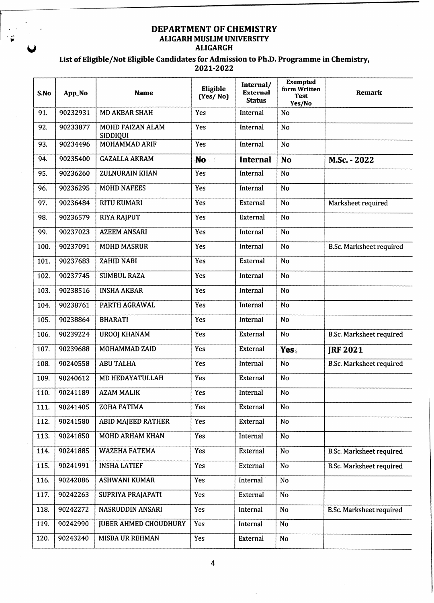## **DEPARTMENT OF CHEMISTRY ALIGARH MUSLIM UNIVERSITY g ALIGARGH**

| S.No | App_No   | <b>Name</b>                  | Eligible<br>(Yes/No) | Internal/<br><b>External</b><br><b>Status</b> | <b>Exempted</b><br>form Written<br><b>Test</b><br>Yes/No | <b>Remark</b>                   |
|------|----------|------------------------------|----------------------|-----------------------------------------------|----------------------------------------------------------|---------------------------------|
| 91.  | 90232931 | <b>MD AKBAR SHAH</b>         | Yes                  | Internal                                      | <b>No</b>                                                |                                 |
| 92.  | 90233877 | MOHD FAIZAN ALAM<br>SIDDIQUI | Yes                  | Internal                                      | No                                                       |                                 |
| 93.  | 90234496 | MOHAMMAD ARIF                | Yes                  | Internal                                      | <b>No</b>                                                |                                 |
| 94.  | 90235400 | <b>GAZALLA AKRAM</b>         | <b>No</b>            | <b>Internal</b>                               | <b>No</b>                                                | M.Sc. - 2022                    |
| 95.  | 90236260 | <b>ZULNURAIN KHAN</b>        | Yes                  | Internal                                      | <b>No</b>                                                |                                 |
| 96.  | 90236295 | <b>MOHD NAFEES</b>           | Yes                  | Internal                                      | N <sub>o</sub>                                           |                                 |
| 97.  | 90236484 | <b>RITU KUMARI</b>           | Yes                  | External                                      | No                                                       | Marksheet required              |
| 98.  | 90236579 | <b>RIYA RAJPUT</b>           | Yes                  | External                                      | <b>No</b>                                                |                                 |
| 99.  | 90237023 | <b>AZEEM ANSARI</b>          | Yes                  | Internal                                      | No                                                       |                                 |
| 100. | 90237091 | <b>MOHD MASRUR</b>           | Yes                  | Internal                                      | No                                                       | <b>B.Sc. Marksheet required</b> |
| 101. | 90237683 | <b>ZAHID NABI</b>            | Yes                  | External                                      | No                                                       |                                 |
| 102. | 90237745 | <b>SUMBUL RAZA</b>           | Yes                  | Internal                                      | <b>No</b>                                                |                                 |
| 103. | 90238516 | <b>INSHA AKBAR</b>           | Yes                  | Internal                                      | <b>No</b>                                                |                                 |
| 104. | 90238761 | PARTH AGRAWAL                | Yes                  | Internal                                      | No                                                       |                                 |
| 105. | 90238864 | <b>BHARATI</b>               | Yes                  | Internal                                      | <b>No</b>                                                |                                 |
| 106. | 90239224 | <b>UROOJ KHANAM</b>          | Yes                  | External                                      | N <sub>o</sub>                                           | <b>B.Sc. Marksheet required</b> |
| 107. | 90239688 | MOHAMMAD ZAID                | Yes                  | External                                      | Yes.                                                     | <b>IRF 2021</b>                 |
| 108. | 90240558 | <b>ABU TALHA</b>             | Yes                  | Internal                                      | No                                                       | <b>B.Sc. Marksheet required</b> |
| 109. | 90240612 | MD HEDAYATULLAH              | Yes                  | External                                      | No                                                       |                                 |
| 110. | 90241189 | <b>AZAM MALIK</b>            | Yes                  | Internal                                      | $\overline{No}$                                          |                                 |
| 111. | 90241405 | ZOHA FATIMA                  | Yes                  | External                                      | <b>No</b>                                                |                                 |
| 112. | 90241580 | <b>ABID MAJEED RATHER</b>    | Yes                  | External                                      | No                                                       |                                 |
| 113. | 90241850 | MOHD ARHAM KHAN              | Yes                  | Internal                                      | No                                                       |                                 |
| 114. | 90241885 | WAZEHA FATEMA                | Yes                  | External                                      | <b>No</b>                                                | <b>B.Sc. Marksheet required</b> |
| 115. | 90241991 | <b>INSHA LATIEF</b>          | Yes                  | External                                      | No                                                       | <b>B.Sc. Marksheet required</b> |
| 116. | 90242086 | <b>ASHWANI KUMAR</b>         | Yes                  | Internal                                      | No                                                       |                                 |
| 117. | 90242263 | SUPRIYA PRAJAPATI            | Yes                  | External                                      | No                                                       |                                 |
| 118. | 90242272 | NASRUDDIN ANSARI             | Yes                  | Internal                                      | <b>No</b>                                                | <b>B.Sc. Marksheet required</b> |
| 119. | 90242990 | <b>JUBER AHMED CHOUDHURY</b> | Yes                  | Internal                                      | No                                                       |                                 |
| 120. | 90243240 | MISBA UR REHMAN              | Yes                  | External                                      | <b>No</b>                                                |                                 |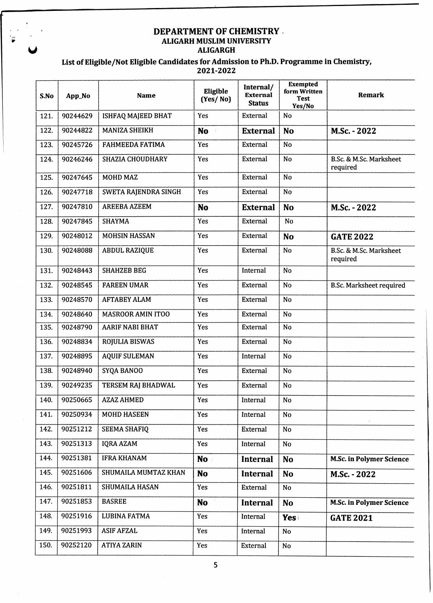## **DEPARTMENT OF CHEMISTRY ALIGARH MUSLIM UNIVERSITY ALIGARGH**

| S.No | App_No   | <b>Name</b>              | Eligible<br>(Yes/No) | Internal/<br><b>External</b><br><b>Status</b> | <b>Exempted</b><br>form Written<br><b>Test</b><br>Yes/No | <b>Remark</b>                       |
|------|----------|--------------------------|----------------------|-----------------------------------------------|----------------------------------------------------------|-------------------------------------|
| 121. | 90244629 | ISHFAQ MAJEED BHAT       | Yes                  | External                                      | No                                                       |                                     |
| 122. | 90244822 | <b>MANIZA SHEIKH</b>     | <b>No</b>            | <b>External</b>                               | <b>No</b>                                                | M.Sc. - 2022                        |
| 123. | 90245726 | <b>FAHMEEDA FATIMA</b>   | Yes                  | External                                      | N <sub>o</sub>                                           |                                     |
| 124. | 90246246 | <b>SHAZIA CHOUDHARY</b>  | Yes                  | External                                      | <b>No</b>                                                | B.Sc. & M.Sc. Marksheet<br>required |
| 125. | 90247645 | <b>MOHD MAZ</b>          | Yes                  | External                                      | No                                                       |                                     |
| 126. | 90247718 | SWETA RAJENDRA SINGH     | Yes                  | External                                      | <b>No</b>                                                |                                     |
| 127. | 90247810 | <b>AREEBA AZEEM</b>      | <b>No</b>            | <b>External</b>                               | <b>No</b>                                                | M.Sc. - 2022                        |
| 128. | 90247845 | <b>SHAYMA</b>            | Yes                  | External                                      | <b>No</b>                                                |                                     |
| 129. | 90248012 | <b>MOHSIN HASSAN</b>     | Yes                  | External                                      | <b>No</b>                                                | <b>GATE 2022</b>                    |
| 130. | 90248088 | <b>ABDUL RAZIQUE</b>     | Yes                  | External                                      | No                                                       | B.Sc. & M.Sc. Marksheet<br>required |
| 131. | 90248443 | <b>SHAHZEB BEG</b>       | Yes                  | Internal                                      | <b>No</b>                                                |                                     |
| 132. | 90248545 | <b>FAREEN UMAR</b>       | Yes                  | External                                      | <b>No</b>                                                | <b>B.Sc. Marksheet required</b>     |
| 133. | 90248570 | <b>AFTABEY ALAM</b>      | Yes                  | External                                      | <b>No</b>                                                |                                     |
| 134. | 90248640 | <b>MASROOR AMIN ITOO</b> | Yes                  | External                                      | <b>No</b>                                                |                                     |
| 135. | 90248790 | <b>AARIF NABI BHAT</b>   | Yes                  | External                                      | <b>No</b>                                                |                                     |
| 136. | 90248834 | <b>ROJULIA BISWAS</b>    | Yes                  | External                                      | <b>No</b>                                                |                                     |
| 137. | 90248895 | <b>AQUIF SULEMAN</b>     | Yes                  | Internal                                      | N <sub>o</sub>                                           |                                     |
| 138. | 90248940 | SYQA BANOO               | Yes                  | External                                      | <b>No</b>                                                |                                     |
| 139. | 90249235 | TERSEM RAJ BHADWAL       | Yes                  | External                                      | N <sub>o</sub>                                           |                                     |
| 140. | 90250665 | <b>AZAZ AHMED</b>        | Yes                  | Internal                                      | <b>No</b>                                                |                                     |
| 141. | 90250934 | <b>MOHD HASEEN</b>       | Yes                  | Internal                                      | No                                                       |                                     |
| 142. | 90251212 | <b>SEEMA SHAFIQ</b>      | Yes                  | External                                      | No                                                       |                                     |
| 143. | 90251313 | <b>IQRA AZAM</b>         | Yes                  | Internal                                      | <b>No</b>                                                |                                     |
| 144. | 90251381 | <b>IFRA KHANAM</b>       | No -                 | <b>Internal</b>                               | <b>No</b>                                                | <b>M.Sc. in Polymer Science</b>     |
| 145. | 90251606 | SHUMAILA MUMTAZ KHAN     | No                   | <b>Internal</b>                               | <b>No</b>                                                | M.Sc. - 2022                        |
| 146. | 90251811 | SHUMAILA HASAN           | Yes                  | External                                      | No                                                       |                                     |
| 147. | 90251853 | <b>BASREE</b>            | <b>No</b>            | Internal                                      | <b>No</b>                                                | <b>M.Sc. in Polymer Science</b>     |
| 148. | 90251916 | LUBINA FATMA             | Yes                  | Internal                                      | Yes                                                      | <b>GATE 2021</b>                    |
| 149. | 90251993 | <b>ASIF AFZAL</b>        | Yes                  | Internal                                      | <b>No</b>                                                |                                     |
| 150. | 90252120 | <b>ATIYA ZARIN</b>       | Yes                  | <b>External</b>                               | No.                                                      |                                     |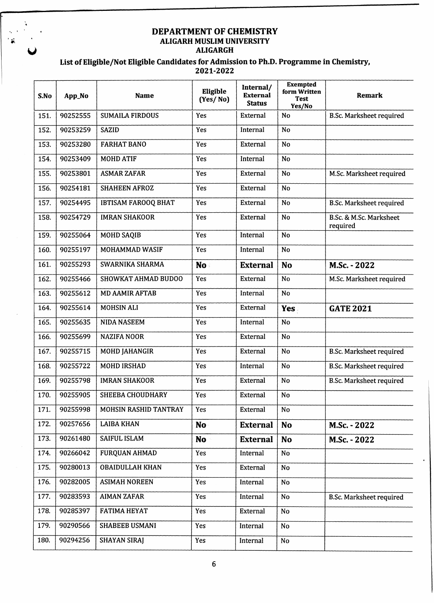# **DEPARTMENT OF CHEMISTRY ALIGARH MUSLIM UNIVERSITY ^ ALIGARGH**

 $\vec{x}$ 

| S.No | App_No   | <b>Name</b>                | Eligible<br>(Yes/No) | Internal/<br><b>External</b><br><b>Status</b> | <b>Exempted</b><br>form Written<br>Test<br>Yes/No | <b>Remark</b>                       |
|------|----------|----------------------------|----------------------|-----------------------------------------------|---------------------------------------------------|-------------------------------------|
| 151. | 90252555 | <b>SUMAILA FIRDOUS</b>     | Yes                  | External                                      | No                                                | <b>B.Sc. Marksheet required</b>     |
| 152. | 90253259 | <b>SAZID</b>               | Yes                  | Internal                                      | <b>No</b>                                         |                                     |
| 153. | 90253280 | <b>FARHAT BANO</b>         | Yes                  | External                                      | No                                                |                                     |
| 154. | 90253409 | <b>MOHD ATIF</b>           | Yes                  | Internal                                      | <b>No</b>                                         |                                     |
| 155. | 90253801 | <b>ASMAR ZAFAR</b>         | Yes                  | External                                      | <b>No</b>                                         | M.Sc. Marksheet required            |
| 156. | 90254181 | <b>SHAHEEN AFROZ</b>       | Yes                  | External                                      | <b>No</b>                                         |                                     |
| 157. | 90254495 | <b>IBTISAM FAROOQ BHAT</b> | Yes                  | External                                      | <b>No</b>                                         | <b>B.Sc. Marksheet required</b>     |
| 158. | 90254729 | <b>IMRAN SHAKOOR</b>       | Yes                  | External                                      | <b>No</b>                                         | B.Sc. & M.Sc. Marksheet<br>required |
| 159. | 90255064 | <b>MOHD SAQIB</b>          | Yes                  | Internal                                      | <b>No</b>                                         |                                     |
| 160. | 90255197 | <b>MOHAMMAD WASIF</b>      | Yes                  | Internal                                      | <b>No</b>                                         |                                     |
| 161. | 90255293 | SWARNIKA SHARMA            | No:                  | <b>External</b>                               | <b>No</b>                                         | M.Sc. - 2022                        |
| 162. | 90255466 | <b>SHOWKAT AHMAD BUDOO</b> | Yes                  | External                                      | <b>No</b>                                         | M.Sc. Marksheet required            |
| 163. | 90255612 | <b>MD AAMIR AFTAB</b>      | Yes                  | Internal                                      | No                                                |                                     |
| 164. | 90255614 | <b>MOHSIN ALI</b>          | <b>Yes</b>           | External                                      | Yes                                               | <b>GATE 2021</b>                    |
| 165. | 90255635 | <b>NIDA NASEEM</b>         | Yes                  | Internal                                      | <b>No</b>                                         |                                     |
| 166. | 90255699 | <b>NAZIFA NOOR</b>         | Yes                  | External                                      | <b>No</b>                                         |                                     |
| 167. | 90255715 | <b>MOHD JAHANGIR</b>       | Yes                  | External                                      | <b>No</b>                                         | <b>B.Sc. Marksheet required</b>     |
| 168. | 90255722 | <b>MOHD IRSHAD</b>         | Yes                  | Internal                                      | <b>No</b>                                         | <b>B.Sc. Marksheet required</b>     |
| 169. | 90255798 | <b>IMRAN SHAKOOR</b>       | Yes                  | External                                      | <b>No</b>                                         | B.Sc. Marksheet required            |
| 170. | 90255905 | SHEEBA CHOUDHARY           | Yes                  | External                                      | No                                                |                                     |
| 171. | 90255998 | MOHSIN RASHID TANTRAY      | Yes                  | External                                      | No                                                |                                     |
| 172. | 90257656 | <b>LAIBA KHAN</b>          | <b>No</b>            | <b>External</b>                               | <b>No</b>                                         | M.Sc. - 2022                        |
| 173. | 90261480 | SAIFUL ISLAM               | <b>No</b>            | <b>External</b>                               | <b>No</b>                                         | M.Sc. - 2022                        |
| 174. | 90266042 | FURQUAN AHMAD              | Yes                  | Internal                                      | No                                                |                                     |
| 175. | 90280013 | <b>OBAIDULLAH KHAN</b>     | Yes                  | External                                      | <b>No</b>                                         |                                     |
| 176. | 90282005 | <b>ASIMAH NOREEN</b>       | Yes                  | Internal                                      | No                                                |                                     |
| 177. | 90283593 | <b>AIMAN ZAFAR</b>         | Yes                  | Internal                                      | No                                                | <b>B.Sc. Marksheet required</b>     |
| 178. | 90285397 | <b>FATIMA HEYAT</b>        | Yes                  | External                                      | No                                                |                                     |
| 179. | 90290566 | SHABEEB USMANI             | Yes                  | Internal                                      | No                                                |                                     |
| 180. | 90294256 | <b>SHAYAN SIRAJ</b>        | Yes                  | Internal                                      | No                                                |                                     |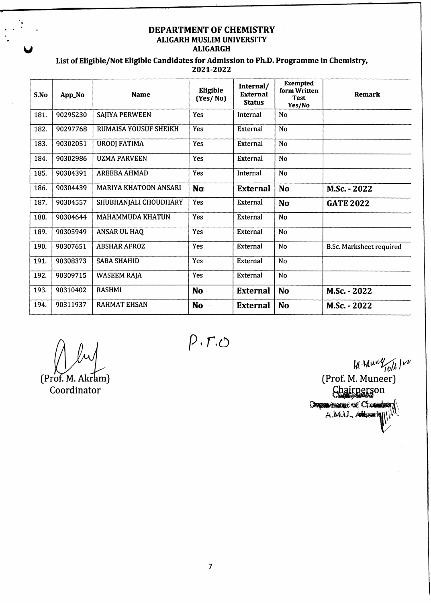## **DEPARTMENT OF CHEMISTRY ALIGARH MUSLIM UNIVERSITY y ALIGARGH**

| S.No | App_No   | <b>Name</b>                  | Eligible<br>(Yes/No)         | Internal/<br><b>External</b><br><b>Status</b> | <b>Exempted</b><br>form Written<br><b>Test</b><br>Yes/No | <b>Remark</b>                   |
|------|----------|------------------------------|------------------------------|-----------------------------------------------|----------------------------------------------------------|---------------------------------|
| 181. | 90295230 | <b>SAJIYA PERWEEN</b>        | Yes                          | Internal                                      | No                                                       |                                 |
| 182. | 90297768 | <b>RUMAISA YOUSUF SHEIKH</b> | Yes                          | External                                      | No                                                       |                                 |
| 183. | 90302051 | <b>UROOJ FATIMA</b>          | Yes                          | External                                      | No                                                       |                                 |
| 184. | 90302986 | <b>UZMA PARVEEN</b>          | Yes                          | External                                      | No                                                       |                                 |
| 185. | 90304391 | <b>AREEBA AHMAD</b>          | Yes                          | Internal                                      | No                                                       |                                 |
| 186. | 90304439 | <b>MARIYA KHATOON ANSARI</b> | <b>No</b>                    | <b>External</b>                               | No                                                       | M.Sc. - 2022                    |
| 187. | 90304557 | SHUBHANJALI CHOUDHARY        | Yes                          | External                                      | No                                                       | <b>GATE 2022</b>                |
| 188. | 90304644 | <b>MAHAMMUDA KHATUN</b>      | Yes                          | External                                      | N <sub>o</sub>                                           |                                 |
| 189. | 90305949 | <b>ANSAR UL HAQ</b>          | Yes                          | External                                      | <b>No</b>                                                |                                 |
| 190. | 90307651 | <b>ABSHAR AFROZ</b>          | Yes                          | External                                      | No                                                       | <b>B.Sc. Marksheet required</b> |
| 191. | 90308373 | <b>SABA SHAHID</b>           | Yes                          | External                                      | <b>No</b>                                                |                                 |
| 192. | 90309715 | <b>WASEEM RAJA</b>           | Yes                          | External                                      | <b>No</b>                                                |                                 |
| 193. | 90310402 | <b>RASHMI</b>                | No                           | <b>External</b>                               | <b>No</b>                                                | M.Sc. - 2022                    |
| 194. | 90311937 | <b>RAHMAT EHSAN</b>          | <b>No</b><br>$\mathcal{Z}_t$ | <b>External</b>                               | <b>No</b>                                                | M.Sc. - 2022                    |

**(Prof. M. Akram) Coordinator**

 $P$ . $r$ . $\circ$ 

**(Prof. M. Muneer)** Chairperson Department of Class A.M.U., Alless